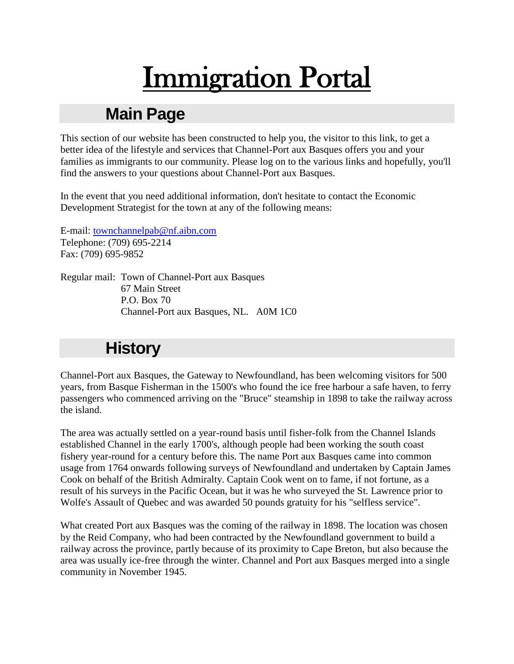# Immigration Portal

# **Main Page**

This section of our website has been constructed to help you, the visitor to this link, to get a better idea of the lifestyle and services that Channel-Port aux Basques offers you and your families as immigrants to our community. Please log on to the various links and hopefully, you'll find the answers to your questions about Channel-Port aux Basques.

In the event that you need additional information, don't hesitate to contact the Economic Development Strategist for the town at any of the following means:

E-mail: [townchannelpab@nf.aibn.com](mailto:townchannelpab@nf.aibn.com) Telephone: (709) 695-2214 Fax: (709) 695-9852

Regular mail: Town of Channel-Port aux Basques 67 Main Street P.O. Box 70 Channel-Port aux Basques, NL. A0M 1C0

# **History**

Channel-Port aux Basques, the Gateway to Newfoundland, has been welcoming visitors for 500 years, from Basque Fisherman in the 1500's who found the ice free harbour a safe haven, to ferry passengers who commenced arriving on the "Bruce" steamship in 1898 to take the railway across the island.

The area was actually settled on a year-round basis until fisher-folk from the Channel Islands established Channel in the early 1700's, although people had been working the south coast fishery year-round for a century before this. The name Port aux Basques came into common usage from 1764 onwards following surveys of Newfoundland and undertaken by Captain James Cook on behalf of the British Admiralty. Captain Cook went on to fame, if not fortune, as a result of his surveys in the Pacific Ocean, but it was he who surveyed the St. Lawrence prior to Wolfe's Assault of Quebec and was awarded 50 pounds gratuity for his "selfless service".

What created Port aux Basques was the coming of the railway in 1898. The location was chosen by the Reid Company, who had been contracted by the Newfoundland government to build a railway across the province, partly because of its proximity to Cape Breton, but also because the area was usually ice-free through the winter. Channel and Port aux Basques merged into a single community in November 1945.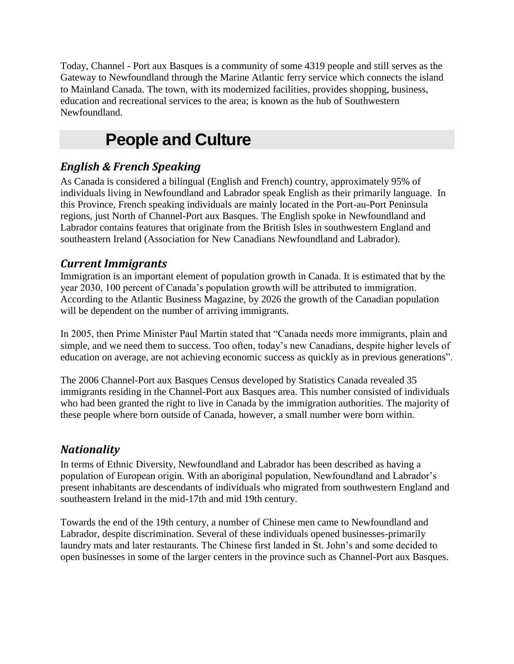Today, Channel - Port aux Basques is a community of some 4319 people and still serves as the Gateway to Newfoundland through the Marine Atlantic ferry service which connects the island to Mainland Canada. The town, with its modernized facilities, provides shopping, business, education and recreational services to the area; is known as the hub of Southwestern Newfoundland.

# **People and Culture**

# *English & French Speaking*

As Canada is considered a bilingual (English and French) country, approximately 95% of individuals living in Newfoundland and Labrador speak English as their primarily language. In this Province, French speaking individuals are mainly located in the Port-au-Port Peninsula regions, just North of Channel-Port aux Basques. The English spoke in Newfoundland and Labrador contains features that originate from the British Isles in southwestern England and southeastern Ireland (Association for New Canadians Newfoundland and Labrador).

### *Current Immigrants*

Immigration is an important element of population growth in Canada. It is estimated that by the year 2030, 100 percent of Canada"s population growth will be attributed to immigration. According to the Atlantic Business Magazine, by 2026 the growth of the Canadian population will be dependent on the number of arriving immigrants.

In 2005, then Prime Minister Paul Martin stated that "Canada needs more immigrants, plain and simple, and we need them to success. Too often, today"s new Canadians, despite higher levels of education on average, are not achieving economic success as quickly as in previous generations".

The 2006 Channel-Port aux Basques Census developed by Statistics Canada revealed 35 immigrants residing in the Channel-Port aux Basques area. This number consisted of individuals who had been granted the right to live in Canada by the immigration authorities. The majority of these people where born outside of Canada, however, a small number were born within.

### *Nationality*

In terms of Ethnic Diversity, Newfoundland and Labrador has been described as having a population of European origin. With an aboriginal population, Newfoundland and Labrador"s present inhabitants are descendants of individuals who migrated from southwestern England and southeastern Ireland in the mid-17th and mid 19th century.

Towards the end of the 19th century, a number of Chinese men came to Newfoundland and Labrador, despite discrimination. Several of these individuals opened businesses-primarily laundry mats and later restaurants. The Chinese first landed in St. John"s and some decided to open businesses in some of the larger centers in the province such as Channel-Port aux Basques.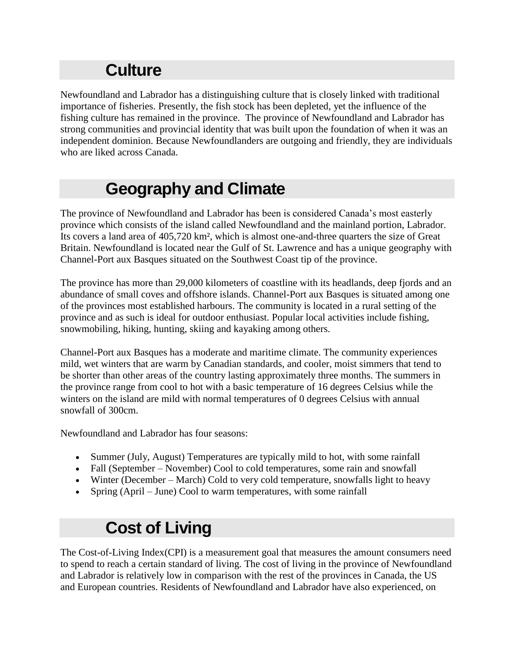# **Culture**

Newfoundland and Labrador has a distinguishing culture that is closely linked with traditional importance of fisheries. Presently, the fish stock has been depleted, yet the influence of the fishing culture has remained in the province. The province of Newfoundland and Labrador has strong communities and provincial identity that was built upon the foundation of when it was an independent dominion. Because Newfoundlanders are outgoing and friendly, they are individuals who are liked across Canada.

# **Geography and Climate**

The province of Newfoundland and Labrador has been is considered Canada"s most easterly province which consists of the island called Newfoundland and the mainland portion, Labrador. Its covers a land area of 405,720 km², which is almost one-and-three quarters the size of Great Britain. Newfoundland is located near the Gulf of St. Lawrence and has a unique geography with Channel-Port aux Basques situated on the Southwest Coast tip of the province.

The province has more than 29,000 kilometers of coastline with its headlands, deep fjords and an abundance of small coves and offshore islands. Channel-Port aux Basques is situated among one of the provinces most established harbours. The community is located in a rural setting of the province and as such is ideal for outdoor enthusiast. Popular local activities include fishing, snowmobiling, hiking, hunting, skiing and kayaking among others.

Channel-Port aux Basques has a moderate and maritime climate. The community experiences mild, wet winters that are warm by Canadian standards, and cooler, moist simmers that tend to be shorter than other areas of the country lasting approximately three months. The summers in the province range from cool to hot with a basic temperature of 16 degrees Celsius while the winters on the island are mild with normal temperatures of 0 degrees Celsius with annual snowfall of 300cm.

Newfoundland and Labrador has four seasons:

- Summer (July, August) Temperatures are typically mild to hot, with some rainfall
- Fall (September November) Cool to cold temperatures, some rain and snowfall
- Winter (December March) Cold to very cold temperature, snowfalls light to heavy
- Spring (April June) Cool to warm temperatures, with some rainfall

# **Cost of Living**

The Cost-of-Living Index(CPI) is a measurement goal that measures the amount consumers need to spend to reach a certain standard of living. The cost of living in the province of Newfoundland and Labrador is relatively low in comparison with the rest of the provinces in Canada, the US and European countries. Residents of Newfoundland and Labrador have also experienced, on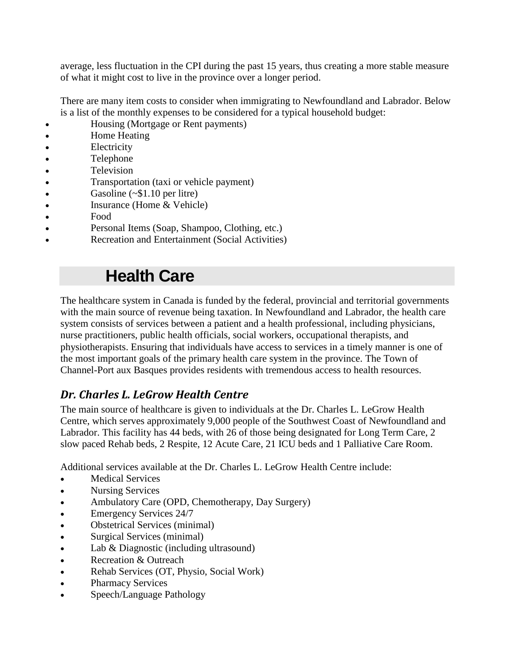average, less fluctuation in the CPI during the past 15 years, thus creating a more stable measure of what it might cost to live in the province over a longer period.

There are many item costs to consider when immigrating to Newfoundland and Labrador. Below is a list of the monthly expenses to be considered for a typical household budget:

- Housing (Mortgage or Rent payments)
- Home Heating
- Electricity
- Telephone
- Television
- Transportation (taxi or vehicle payment)
- Gasoline (~\$1.10 per litre)
- Insurance (Home & Vehicle)
- Food
- Personal Items (Soap, Shampoo, Clothing, etc.)
- Recreation and Entertainment (Social Activities)

# **Health Care**

The healthcare system in Canada is funded by the federal, provincial and territorial governments with the main source of revenue being taxation. In Newfoundland and Labrador, the health care system consists of services between a patient and a health professional, including physicians, nurse practitioners, public health officials, social workers, occupational therapists, and physiotherapists. Ensuring that individuals have access to services in a timely manner is one of the most important goals of the primary health care system in the province. The Town of Channel-Port aux Basques provides residents with tremendous access to health resources.

### *Dr. Charles L. LeGrow Health Centre*

The main source of healthcare is given to individuals at the Dr. Charles L. LeGrow Health Centre, which serves approximately 9,000 people of the Southwest Coast of Newfoundland and Labrador. This facility has 44 beds, with 26 of those being designated for Long Term Care, 2 slow paced Rehab beds, 2 Respite, 12 Acute Care, 21 ICU beds and 1 Palliative Care Room.

Additional services available at the Dr. Charles L. LeGrow Health Centre include:

- Medical Services
- Nursing Services
- Ambulatory Care (OPD, Chemotherapy, Day Surgery)
- Emergency Services 24/7
- Obstetrical Services (minimal)
- Surgical Services (minimal)
- Lab & Diagnostic (including ultrasound)
- Recreation & Outreach
- Rehab Services (OT, Physio, Social Work)
- Pharmacy Services
- Speech/Language Pathology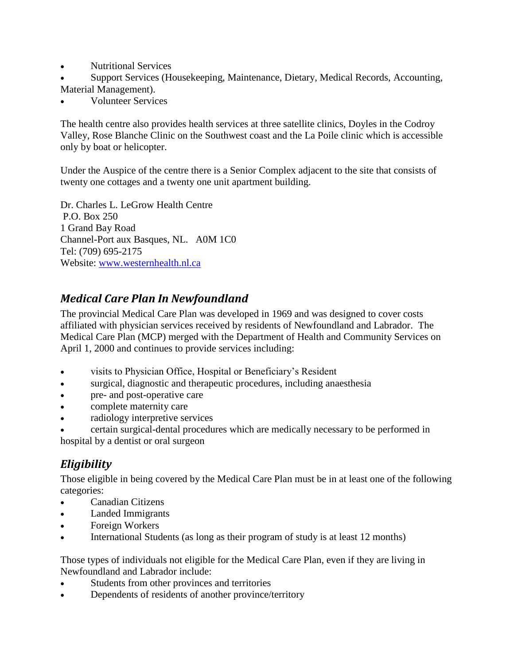- Nutritional Services
- Support Services (Housekeeping, Maintenance, Dietary, Medical Records, Accounting, Material Management).
- Volunteer Services

The health centre also provides health services at three satellite clinics, Doyles in the Codroy Valley, Rose Blanche Clinic on the Southwest coast and the La Poile clinic which is accessible only by boat or helicopter.

Under the Auspice of the centre there is a Senior Complex adjacent to the site that consists of twenty one cottages and a twenty one unit apartment building.

Dr. Charles L. LeGrow Health Centre P.O. Box 250 1 Grand Bay Road Channel-Port aux Basques, NL. A0M 1C0 Tel: (709) 695-2175 Website: [www.westernhealth.nl.ca](http://www.westernhealth.nl.ca/)

### *Medical Care Plan In Newfoundland*

The provincial Medical Care Plan was developed in 1969 and was designed to cover costs affiliated with physician services received by residents of Newfoundland and Labrador. The Medical Care Plan (MCP) merged with the Department of Health and Community Services on April 1, 2000 and continues to provide services including:

- visits to Physician Office, Hospital or Beneficiary"s Resident
- surgical, diagnostic and therapeutic procedures, including anaesthesia
- pre- and post-operative care
- complete maternity care
- radiology interpretive services

 certain surgical-dental procedures which are medically necessary to be performed in hospital by a dentist or oral surgeon

### *Eligibility*

Those eligible in being covered by the Medical Care Plan must be in at least one of the following categories:

- Canadian Citizens
- Landed Immigrants
- Foreign Workers
- International Students (as long as their program of study is at least 12 months)

Those types of individuals not eligible for the Medical Care Plan, even if they are living in Newfoundland and Labrador include:

- Students from other provinces and territories
- Dependents of residents of another province/territory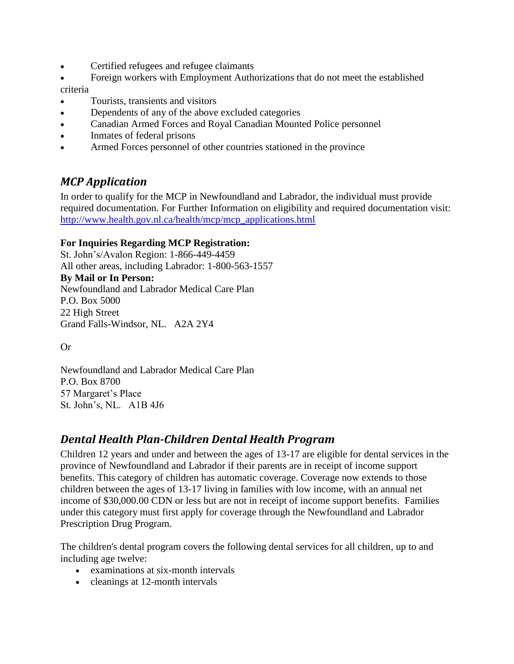- Certified refugees and refugee claimants
- Foreign workers with Employment Authorizations that do not meet the established

criteria

- Tourists, transients and visitors
- Dependents of any of the above excluded categories
- Canadian Armed Forces and Royal Canadian Mounted Police personnel
- Inmates of federal prisons
- Armed Forces personnel of other countries stationed in the province

### *MCP Application*

In order to qualify for the MCP in Newfoundland and Labrador, the individual must provide required documentation. For Further Information on eligibility and required documentation visit: [http://www.health.gov.nl.ca/health/mcp/mcp\\_applications.html](http://www.health.gov.nl.ca/health/mcp/mcp_applications.html)

#### **For Inquiries Regarding MCP Registration:**

St. John"s/Avalon Region: 1-866-449-4459 All other areas, including Labrador: 1-800-563-1557 **By Mail or In Person:** Newfoundland and Labrador Medical Care Plan P.O. Box 5000 22 High Street Grand Falls-Windsor, NL. A2A 2Y4

Or

Newfoundland and Labrador Medical Care Plan P.O. Box 8700 57 Margaret's Place St. John"s, NL. A1B 4J6

### *Dental Health Plan-Children Dental Health Program*

Children 12 years and under and between the ages of 13-17 are eligible for dental services in the province of Newfoundland and Labrador if their parents are in receipt of income support benefits. This category of children has automatic coverage. Coverage now extends to those children between the ages of 13-17 living in families with low income, with an annual net income of \$30,000.00 CDN or less but are not in receipt of income support benefits. Families under this category must first apply for coverage through the Newfoundland and Labrador Prescription Drug Program.

The children's dental program covers the following dental services for all children, up to and including age twelve:

- examinations at six-month intervals
- cleanings at 12-month intervals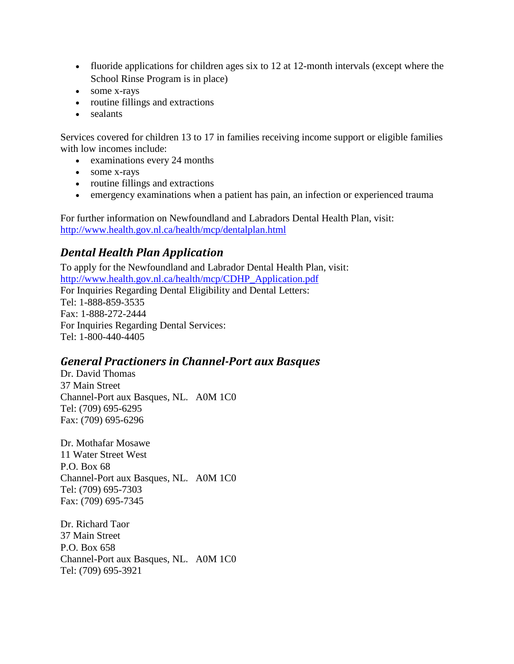- fluoride applications for children ages six to 12 at 12-month intervals (except where the School Rinse Program is in place)
- some x-rays
- routine fillings and extractions
- sealants

Services covered for children 13 to 17 in families receiving income support or eligible families with low incomes include:

- examinations every 24 months
- some x-rays
- routine fillings and extractions
- emergency examinations when a patient has pain, an infection or experienced trauma

For further information on Newfoundland and Labradors Dental Health Plan, visit: <http://www.health.gov.nl.ca/health/mcp/dentalplan.html>

### *Dental Health Plan Application*

To apply for the Newfoundland and Labrador Dental Health Plan, visit: [http://www.health.gov.nl.ca/health/mcp/CDHP\\_Application.pdf](http://www.health.gov.nl.ca/health/mcp/CDHP_Application.pdf) For Inquiries Regarding Dental Eligibility and Dental Letters: Tel: 1-888-859-3535 Fax: 1-888-272-2444 For Inquiries Regarding Dental Services: Tel: 1-800-440-4405

### *General Practioners in Channel-Port aux Basques*

Dr. David Thomas 37 Main Street Channel-Port aux Basques, NL. A0M 1C0 Tel: (709) 695-6295 Fax: (709) 695-6296

Dr. Mothafar Mosawe 11 Water Street West P.O. Box 68 Channel-Port aux Basques, NL. A0M 1C0 Tel: (709) 695-7303 Fax: (709) 695-7345

Dr. Richard Taor 37 Main Street P.O. Box 658 Channel-Port aux Basques, NL. A0M 1C0 Tel: (709) 695-3921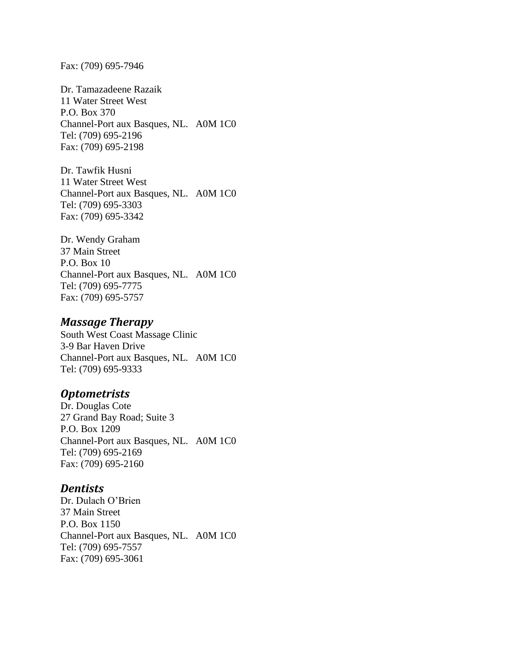Fax: (709) 695-7946

Dr. Tamazadeene Razaik 11 Water Street West P.O. Box 370 Channel-Port aux Basques, NL. A0M 1C0 Tel: (709) 695-2196 Fax: (709) 695-2198

Dr. Tawfik Husni 11 Water Street West Channel-Port aux Basques, NL. A0M 1C0 Tel: (709) 695-3303 Fax: (709) 695-3342

Dr. Wendy Graham 37 Main Street P.O. Box 10 Channel-Port aux Basques, NL. A0M 1C0 Tel: (709) 695-7775 Fax: (709) 695-5757

#### *Massage Therapy*

South West Coast Massage Clinic 3-9 Bar Haven Drive Channel-Port aux Basques, NL. A0M 1C0 Tel: (709) 695-9333

#### *Optometrists*

Dr. Douglas Cote 27 Grand Bay Road; Suite 3 P.O. Box 1209 Channel-Port aux Basques, NL. A0M 1C0 Tel: (709) 695-2169 Fax: (709) 695-2160

#### *Dentists*

Dr. Dulach O"Brien 37 Main Street P.O. Box 1150 Channel-Port aux Basques, NL. A0M 1C0 Tel: (709) 695-7557 Fax: (709) 695-3061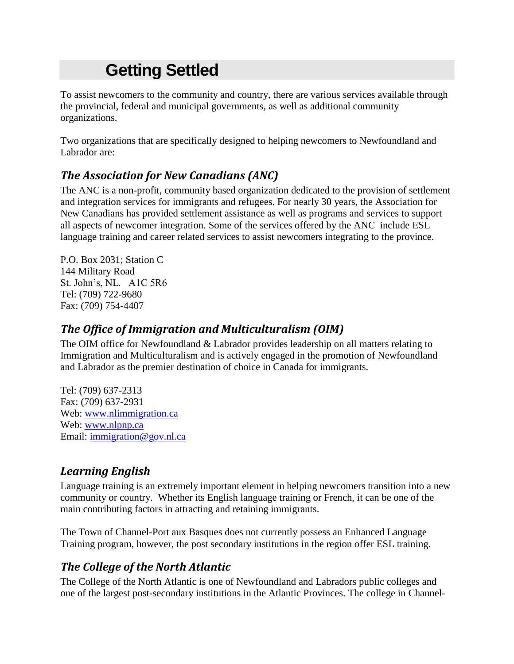# **Getting Settled**

To assist newcomers to the community and country, there are various services available through the provincial, federal and municipal governments, as well as additional community organizations.

Two organizations that are specifically designed to helping newcomers to Newfoundland and Labrador are:

# *The Association for New Canadians (ANC)*

The ANC is a non-profit, community based organization dedicated to the provision of settlement and integration services for immigrants and refugees. For nearly 30 years, the Association for New Canadians has provided settlement assistance as well as programs and services to support all aspects of newcomer integration. Some of the services offered by the ANC include ESL language training and career related services to assist newcomers integrating to the province.

P.O. Box 2031; Station C 144 Military Road St. John"s, NL. A1C 5R6 Tel: (709) 722-9680 Fax: (709) 754-4407

### *The Office of Immigration and Multiculturalism (OIM)*

The OIM office for Newfoundland & Labrador provides leadership on all matters relating to Immigration and Multiculturalism and is actively engaged in the promotion of Newfoundland and Labrador as the premier destination of choice in Canada for immigrants.

Tel: (709) 637-2313 Fax: (709) 637-2931 Web: [www.nlimmigration.ca](http://www.nlimmigration.ca/) Web: [www.nlpnp.ca](http://www.nlpnp.ca/) Email: [immigration@gov.nl.ca](mailto:immigration@gov.nl.ca)

### *Learning English*

Language training is an extremely important element in helping newcomers transition into a new community or country. Whether its English language training or French, it can be one of the main contributing factors in attracting and retaining immigrants.

The Town of Channel-Port aux Basques does not currently possess an Enhanced Language Training program, however, the post secondary institutions in the region offer ESL training.

### *The College of the North Atlantic*

The College of the North Atlantic is one of Newfoundland and Labradors public colleges and one of the largest post-secondary institutions in the Atlantic Provinces. The college in Channel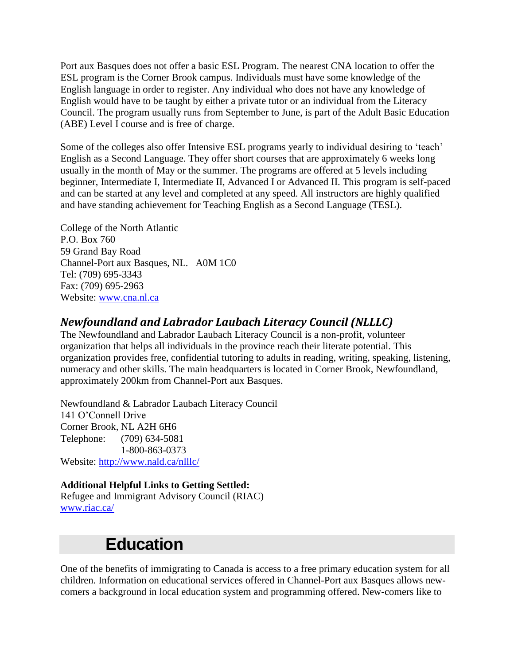Port aux Basques does not offer a basic ESL Program. The nearest CNA location to offer the ESL program is the Corner Brook campus. Individuals must have some knowledge of the English language in order to register. Any individual who does not have any knowledge of English would have to be taught by either a private tutor or an individual from the Literacy Council. The program usually runs from September to June, is part of the Adult Basic Education (ABE) Level I course and is free of charge.

Some of the colleges also offer Intensive ESL programs yearly to individual desiring to 'teach' English as a Second Language. They offer short courses that are approximately 6 weeks long usually in the month of May or the summer. The programs are offered at 5 levels including beginner, Intermediate I, Intermediate II, Advanced I or Advanced II. This program is self-paced and can be started at any level and completed at any speed. All instructors are highly qualified and have standing achievement for Teaching English as a Second Language (TESL).

College of the North Atlantic P.O. Box 760 59 Grand Bay Road Channel-Port aux Basques, NL. A0M 1C0 Tel: (709) 695-3343 Fax: (709) 695-2963 Website: [www.cna.nl.ca](http://www.cna.nl.ca/)

### *Newfoundland and Labrador Laubach Literacy Council (NLLLC)*

The Newfoundland and Labrador Laubach Literacy Council is a non-profit, volunteer organization that helps all individuals in the province reach their literate potential. This organization provides free, confidential tutoring to adults in reading, writing, speaking, listening, numeracy and other skills. The main headquarters is located in Corner Brook, Newfoundland, approximately 200km from Channel-Port aux Basques.

Newfoundland & Labrador Laubach Literacy Council 141 O"Connell Drive Corner Brook, NL A2H 6H6 Telephone: (709) 634-5081 1-800-863-0373 Website:<http://www.nald.ca/nlllc/>

#### **Additional Helpful Links to Getting Settled:**

Refugee and Immigrant Advisory Council (RIAC) [www.riac.ca/](http://www.riac.ca/)

# **Education**

One of the benefits of immigrating to Canada is access to a free primary education system for all children. Information on educational services offered in Channel-Port aux Basques allows newcomers a background in local education system and programming offered. New-comers like to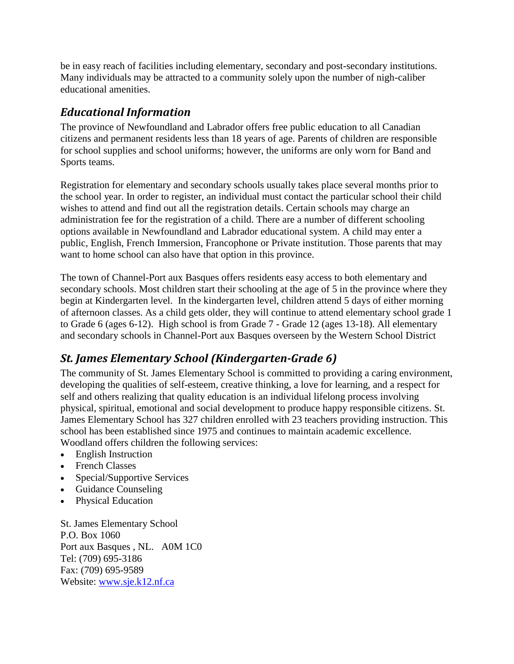be in easy reach of facilities including elementary, secondary and post-secondary institutions. Many individuals may be attracted to a community solely upon the number of nigh-caliber educational amenities.

### *Educational Information*

The province of Newfoundland and Labrador offers free public education to all Canadian citizens and permanent residents less than 18 years of age. Parents of children are responsible for school supplies and school uniforms; however, the uniforms are only worn for Band and Sports teams.

Registration for elementary and secondary schools usually takes place several months prior to the school year. In order to register, an individual must contact the particular school their child wishes to attend and find out all the registration details. Certain schools may charge an administration fee for the registration of a child. There are a number of different schooling options available in Newfoundland and Labrador educational system. A child may enter a public, English, French Immersion, Francophone or Private institution. Those parents that may want to home school can also have that option in this province.

The town of Channel-Port aux Basques offers residents easy access to both elementary and secondary schools. Most children start their schooling at the age of 5 in the province where they begin at Kindergarten level. In the kindergarten level, children attend 5 days of either morning of afternoon classes. As a child gets older, they will continue to attend elementary school grade 1 to Grade 6 (ages 6-12). High school is from Grade 7 - Grade 12 (ages 13-18). All elementary and secondary schools in Channel-Port aux Basques overseen by the Western School District

# *St. James Elementary School (Kindergarten-Grade 6)*

The community of St. James Elementary School is committed to providing a caring environment, developing the qualities of self-esteem, creative thinking, a love for learning, and a respect for self and others realizing that quality education is an individual lifelong process involving physical, spiritual, emotional and social development to produce happy responsible citizens. St. James Elementary School has 327 children enrolled with 23 teachers providing instruction. This school has been established since 1975 and continues to maintain academic excellence. Woodland offers children the following services:

- English Instruction
- French Classes
- Special/Supportive Services
- Guidance Counseling
- Physical Education

St. James Elementary School P.O. Box 1060 Port aux Basques , NL. A0M 1C0 Tel: (709) 695-3186 Fax: (709) 695-9589 Website: [www.sje.k12.nf.ca](http://www.sje.k12.nf.ca/)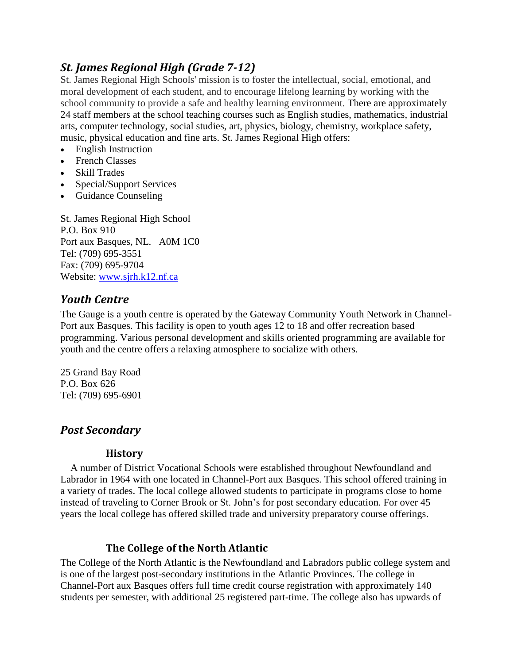### *St. James Regional High (Grade 7-12)*

St. James Regional High Schools' mission is to foster the intellectual, social, emotional, and moral development of each student, and to encourage lifelong learning by working with the school community to provide a safe and healthy learning environment. There are approximately 24 staff members at the school teaching courses such as English studies, mathematics, industrial arts, computer technology, social studies, art, physics, biology, chemistry, workplace safety, music, physical education and fine arts. St. James Regional High offers:

- English Instruction
- French Classes
- Skill Trades
- Special/Support Services
- Guidance Counseling

St. James Regional High School P.O. Box 910 Port aux Basques, NL. A0M 1C0 Tel: (709) 695-3551 Fax: (709) 695-9704 Website: [www.sjrh.k12.nf.ca](http://www.sjrh.k12.nf.ca/)

### *Youth Centre*

The Gauge is a youth centre is operated by the Gateway Community Youth Network in Channel-Port aux Basques. This facility is open to youth ages 12 to 18 and offer recreation based programming. Various personal development and skills oriented programming are available for youth and the centre offers a relaxing atmosphere to socialize with others.

25 Grand Bay Road P.O. Box 626 Tel: (709) 695-6901

### *Post Secondary*

#### **History**

 A number of District Vocational Schools were established throughout Newfoundland and Labrador in 1964 with one located in Channel-Port aux Basques. This school offered training in a variety of trades. The local college allowed students to participate in programs close to home instead of traveling to Corner Brook or St. John"s for post secondary education. For over 45 years the local college has offered skilled trade and university preparatory course offerings.

### **The College of the North Atlantic**

The College of the North Atlantic is the Newfoundland and Labradors public college system and is one of the largest post-secondary institutions in the Atlantic Provinces. The college in Channel-Port aux Basques offers full time credit course registration with approximately 140 students per semester, with additional 25 registered part-time. The college also has upwards of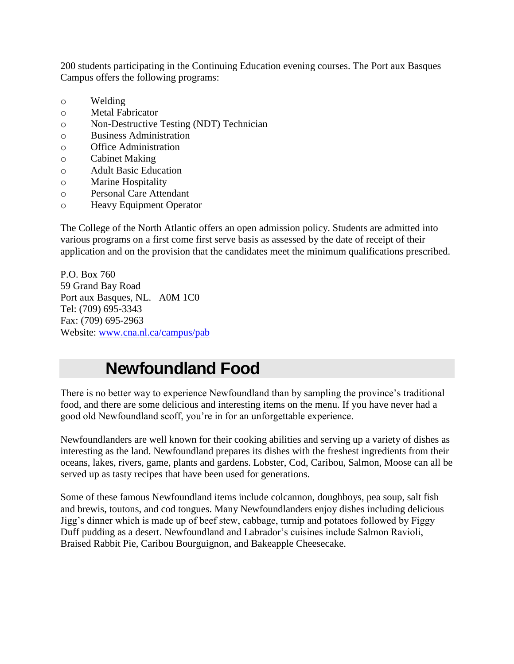200 students participating in the Continuing Education evening courses. The Port aux Basques Campus offers the following programs:

- o Welding
- o Metal Fabricator
- o Non-Destructive Testing (NDT) Technician
- o Business Administration
- o Office Administration
- o Cabinet Making
- o Adult Basic Education
- o Marine Hospitality
- o Personal Care Attendant
- o Heavy Equipment Operator

The College of the North Atlantic offers an open admission policy. Students are admitted into various programs on a first come first serve basis as assessed by the date of receipt of their application and on the provision that the candidates meet the minimum qualifications prescribed.

P.O. Box 760 59 Grand Bay Road Port aux Basques, NL. A0M 1C0 Tel: (709) 695-3343 Fax: (709) 695-2963 Website: [www.cna.nl.ca/campus/pab](http://www.cna.nl.ca/campus/pab)

# **Newfoundland Food**

There is no better way to experience Newfoundland than by sampling the province"s traditional food, and there are some delicious and interesting items on the menu. If you have never had a good old Newfoundland scoff, you"re in for an unforgettable experience.

Newfoundlanders are well known for their cooking abilities and serving up a variety of dishes as interesting as the land. Newfoundland prepares its dishes with the freshest ingredients from their oceans, lakes, rivers, game, plants and gardens. Lobster, Cod, Caribou, Salmon, Moose can all be served up as tasty recipes that have been used for generations.

Some of these famous Newfoundland items include colcannon, doughboys, pea soup, salt fish and brewis, toutons, and cod tongues. Many Newfoundlanders enjoy dishes including delicious Jigg"s dinner which is made up of beef stew, cabbage, turnip and potatoes followed by Figgy Duff pudding as a desert. Newfoundland and Labrador"s cuisines include Salmon Ravioli, Braised Rabbit Pie, Caribou Bourguignon, and Bakeapple Cheesecake.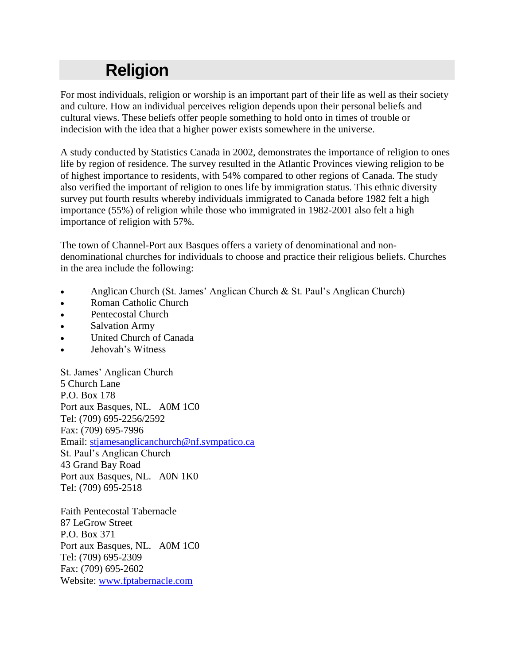# **Religion**

For most individuals, religion or worship is an important part of their life as well as their society and culture. How an individual perceives religion depends upon their personal beliefs and cultural views. These beliefs offer people something to hold onto in times of trouble or indecision with the idea that a higher power exists somewhere in the universe.

A study conducted by Statistics Canada in 2002, demonstrates the importance of religion to ones life by region of residence. The survey resulted in the Atlantic Provinces viewing religion to be of highest importance to residents, with 54% compared to other regions of Canada. The study also verified the important of religion to ones life by immigration status. This ethnic diversity survey put fourth results whereby individuals immigrated to Canada before 1982 felt a high importance (55%) of religion while those who immigrated in 1982-2001 also felt a high importance of religion with 57%.

The town of Channel-Port aux Basques offers a variety of denominational and nondenominational churches for individuals to choose and practice their religious beliefs. Churches in the area include the following:

- Anglican Church (St. James" Anglican Church & St. Paul"s Anglican Church)
- Roman Catholic Church
- Pentecostal Church
- Salvation Army
- United Church of Canada
- Jehovah"s Witness

St. James" Anglican Church 5 Church Lane P.O. Box 178 Port aux Basques, NL. A0M 1C0 Tel: (709) 695-2256/2592 Fax: (709) 695-7996 Email: [stjamesanglicanchurch@nf.sympatico.ca](mailto:stjamesanglicanchurch@nf.sympatico.ca) St. Paul"s Anglican Church 43 Grand Bay Road Port aux Basques, NL. A0N 1K0 Tel: (709) 695-2518

Faith Pentecostal Tabernacle 87 LeGrow Street P.O. Box 371 Port aux Basques, NL. A0M 1C0 Tel: (709) 695-2309 Fax: (709) 695-2602 Website: [www.fptabernacle.com](http://www.fptabernacle.com/)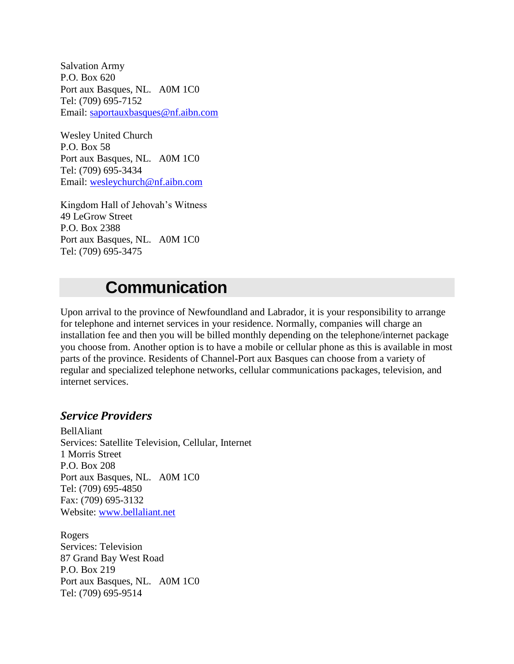Salvation Army P.O. Box 620 Port aux Basques, NL. A0M 1C0 Tel: (709) 695-7152 Email: [saportauxbasques@nf.aibn.com](mailto:saportauxbasques@nf.aibn.com)

Wesley United Church P.O. Box 58 Port aux Basques, NL. A0M 1C0 Tel: (709) 695-3434 Email: [wesleychurch@nf.aibn.com](mailto:wesleychurch@nf.aibn.com)

Kingdom Hall of Jehovah"s Witness 49 LeGrow Street P.O. Box 2388 Port aux Basques, NL. A0M 1C0 Tel: (709) 695-3475

# **Communication**

Upon arrival to the province of Newfoundland and Labrador, it is your responsibility to arrange for telephone and internet services in your residence. Normally, companies will charge an installation fee and then you will be billed monthly depending on the telephone/internet package you choose from. Another option is to have a mobile or cellular phone as this is available in most parts of the province. Residents of Channel-Port aux Basques can choose from a variety of regular and specialized telephone networks, cellular communications packages, television, and internet services.

#### *Service Providers*

BellAliant Services: Satellite Television, Cellular, Internet 1 Morris Street P.O. Box 208 Port aux Basques, NL. A0M 1C0 Tel: (709) 695-4850 Fax: (709) 695-3132 Website: [www.bellaliant.net](http://www.bellaliant.net/)

Rogers Services: Television 87 Grand Bay West Road P.O. Box 219 Port aux Basques, NL. A0M 1C0 Tel: (709) 695-9514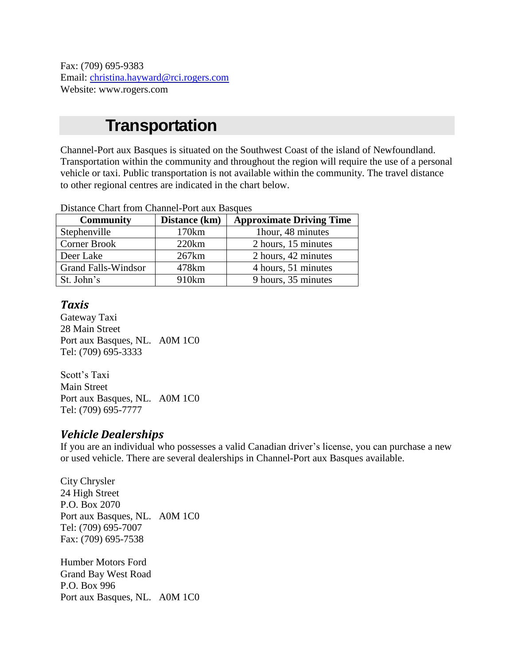Fax: (709) 695-9383 Email: [christina.hayward@rci.rogers.com](mailto:christina.hayward@rci.rogers.com) Website: www.rogers.com

# **Transportation**

Channel-Port aux Basques is situated on the Southwest Coast of the island of Newfoundland. Transportation within the community and throughout the region will require the use of a personal vehicle or taxi. Public transportation is not available within the community. The travel distance to other regional centres are indicated in the chart below.

| Distance Chart Holli Chamiei-Fort aux Basques |               |                                 |  |
|-----------------------------------------------|---------------|---------------------------------|--|
| <b>Community</b>                              | Distance (km) | <b>Approximate Driving Time</b> |  |
| Stephenville                                  | 170km         | 1hour, 48 minutes               |  |
| <b>Corner Brook</b>                           | 220km         | 2 hours, 15 minutes             |  |
| Deer Lake                                     | 267km         | 2 hours, 42 minutes             |  |
| <b>Grand Falls-Windsor</b>                    | 478km         | 4 hours, 51 minutes             |  |
| St. John's                                    | 910km         | 9 hours, 35 minutes             |  |

Distance Chart from Channel-Port aux Basques

#### *Taxis*

Gateway Taxi 28 Main Street Port aux Basques, NL. A0M 1C0 Tel: (709) 695-3333

Scott's Taxi Main Street Port aux Basques, NL. A0M 1C0 Tel: (709) 695-7777

### *Vehicle Dealerships*

If you are an individual who possesses a valid Canadian driver"s license, you can purchase a new or used vehicle. There are several dealerships in Channel-Port aux Basques available.

City Chrysler 24 High Street P.O. Box 2070 Port aux Basques, NL. A0M 1C0 Tel: (709) 695-7007 Fax: (709) 695-7538

Humber Motors Ford Grand Bay West Road P.O. Box 996 Port aux Basques, NL. A0M 1C0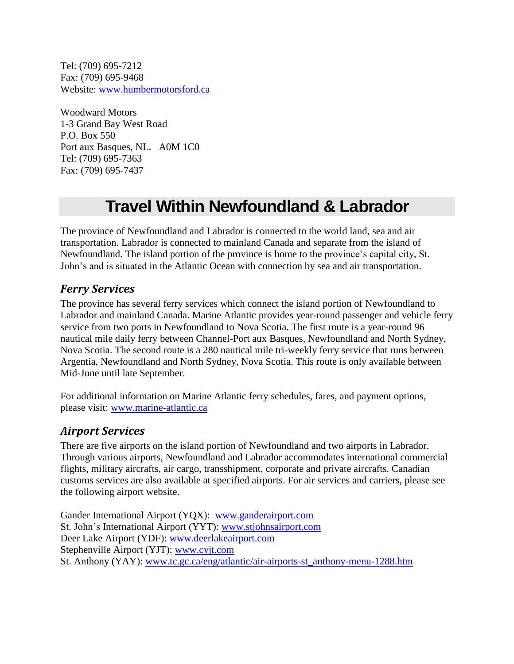Tel: (709) 695-7212 Fax: (709) 695-9468 Website: [www.humbermotorsford.ca](http://www.humbermotorsford.ca/)

Woodward Motors 1-3 Grand Bay West Road P.O. Box 550 Port aux Basques, NL. A0M 1C0 Tel: (709) 695-7363 Fax: (709) 695-7437

# **Travel Within Newfoundland & Labrador**

The province of Newfoundland and Labrador is connected to the world land, sea and air transportation. Labrador is connected to mainland Canada and separate from the island of Newfoundland. The island portion of the province is home to the province"s capital city, St. John"s and is situated in the Atlantic Ocean with connection by sea and air transportation.

### *Ferry Services*

The province has several ferry services which connect the island portion of Newfoundland to Labrador and mainland Canada. Marine Atlantic provides year-round passenger and vehicle ferry service from two ports in Newfoundland to Nova Scotia. The first route is a year-round 96 nautical mile daily ferry between Channel-Port aux Basques, Newfoundland and North Sydney, Nova Scotia. The second route is a 280 nautical mile tri-weekly ferry service that runs between Argentia, Newfoundland and North Sydney, Nova Scotia. This route is only available between Mid-June until late September.

For additional information on Marine Atlantic ferry schedules, fares, and payment options, please visit: [www.marine-atlantic.ca](http://www.marine-atlantic.ca/)

### *Airport Services*

There are five airports on the island portion of Newfoundland and two airports in Labrador. Through various airports, Newfoundland and Labrador accommodates international commercial flights, military aircrafts, air cargo, transshipment, corporate and private aircrafts. Canadian customs services are also available at specified airports. For air services and carriers, please see the following airport website.

Gander International Airport (YQX): [www.ganderairport.com](http://www.ganderairport.com/) St. John"s International Airport (YYT): [www.stjohnsairport.com](http://www.stjohnsairport.com/) Deer Lake Airport (YDF): www.deerlakeairport.com Stephenville Airport (YJT): [www.cyjt.com](http://www.cyjt.com/) St. Anthony (YAY): [www.tc.gc.ca/eng/atlantic/air-airports-st\\_anthony-menu-1288.htm](http://www.tc.gc.ca/eng/atlantic/air-airports-st_anthony-menu-1288.htm)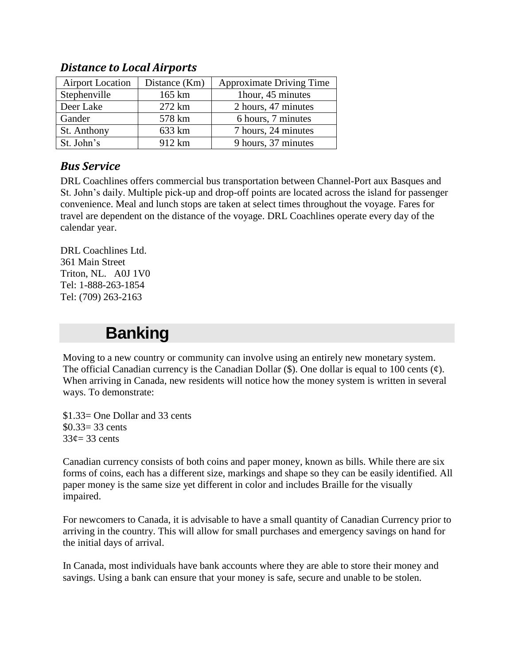| <b>Airport Location</b> | Distance (Km) | <b>Approximate Driving Time</b> |
|-------------------------|---------------|---------------------------------|
| Stephenville            | 165 km        | 1hour, 45 minutes               |
| Deer Lake               | 272 km        | 2 hours, 47 minutes             |
| Gander                  | 578 km        | 6 hours, 7 minutes              |
| St. Anthony             | 633 km        | 7 hours, 24 minutes             |
| St. John's              | 912 km        | 9 hours, 37 minutes             |

### *Distance to Local Airports*

### *Bus Service*

DRL Coachlines offers commercial bus transportation between Channel-Port aux Basques and St. John"s daily. Multiple pick-up and drop-off points are located across the island for passenger convenience. Meal and lunch stops are taken at select times throughout the voyage. Fares for travel are dependent on the distance of the voyage. DRL Coachlines operate every day of the calendar year.

DRL Coachlines Ltd. 361 Main Street Triton, NL. A0J 1V0 Tel: 1-888-263-1854 Tel: (709) 263-2163

# **Banking**

Moving to a new country or community can involve using an entirely new monetary system. The official Canadian currency is the Canadian Dollar  $(\$)$ . One dollar is equal to 100 cents  $(\phi)$ . When arriving in Canada, new residents will notice how the money system is written in several ways. To demonstrate:

\$1.33= One Dollar and 33 cents  $$0.33 = 33 \text{ cents}$  $33¢=33$  cents

Canadian currency consists of both coins and paper money, known as bills. While there are six forms of coins, each has a different size, markings and shape so they can be easily identified. All paper money is the same size yet different in color and includes Braille for the visually impaired.

For newcomers to Canada, it is advisable to have a small quantity of Canadian Currency prior to arriving in the country. This will allow for small purchases and emergency savings on hand for the initial days of arrival.

In Canada, most individuals have bank accounts where they are able to store their money and savings. Using a bank can ensure that your money is safe, secure and unable to be stolen.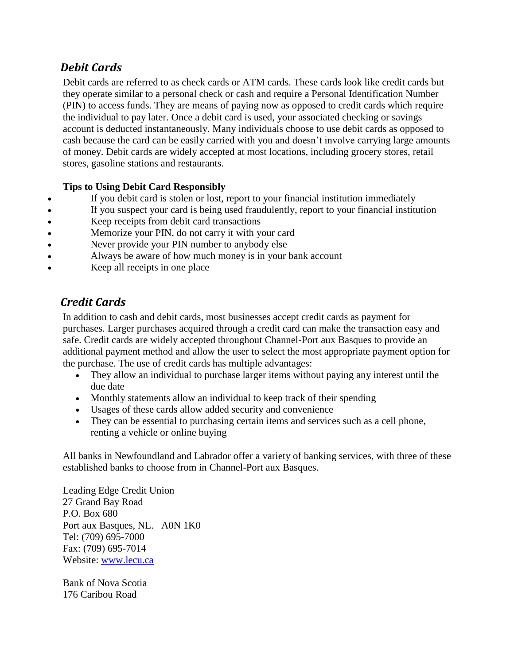### *Debit Cards*

Debit cards are referred to as check cards or ATM cards. These cards look like credit cards but they operate similar to a personal check or cash and require a Personal Identification Number (PIN) to access funds. They are means of paying now as opposed to credit cards which require the individual to pay later. Once a debit card is used, your associated checking or savings account is deducted instantaneously. Many individuals choose to use debit cards as opposed to cash because the card can be easily carried with you and doesn"t involve carrying large amounts of money. Debit cards are widely accepted at most locations, including grocery stores, retail stores, gasoline stations and restaurants.

#### **Tips to Using Debit Card Responsibly**

- If you debit card is stolen or lost, report to your financial institution immediately
- If you suspect your card is being used fraudulently, report to your financial institution
- Keep receipts from debit card transactions
- Memorize your PIN, do not carry it with your card
- Never provide your PIN number to anybody else
- Always be aware of how much money is in your bank account
- Keep all receipts in one place

### *Credit Cards*

In addition to cash and debit cards, most businesses accept credit cards as payment for purchases. Larger purchases acquired through a credit card can make the transaction easy and safe. Credit cards are widely accepted throughout Channel-Port aux Basques to provide an additional payment method and allow the user to select the most appropriate payment option for the purchase. The use of credit cards has multiple advantages:

- They allow an individual to purchase larger items without paying any interest until the due date
- Monthly statements allow an individual to keep track of their spending
- Usages of these cards allow added security and convenience
- They can be essential to purchasing certain items and services such as a cell phone, renting a vehicle or online buying

All banks in Newfoundland and Labrador offer a variety of banking services, with three of these established banks to choose from in Channel-Port aux Basques.

Leading Edge Credit Union 27 Grand Bay Road P.O. Box 680 Port aux Basques, NL. A0N 1K0 Tel: (709) 695-7000 Fax: (709) 695-7014 Website: [www.lecu.ca](http://www.lecu.ca/)

Bank of Nova Scotia 176 Caribou Road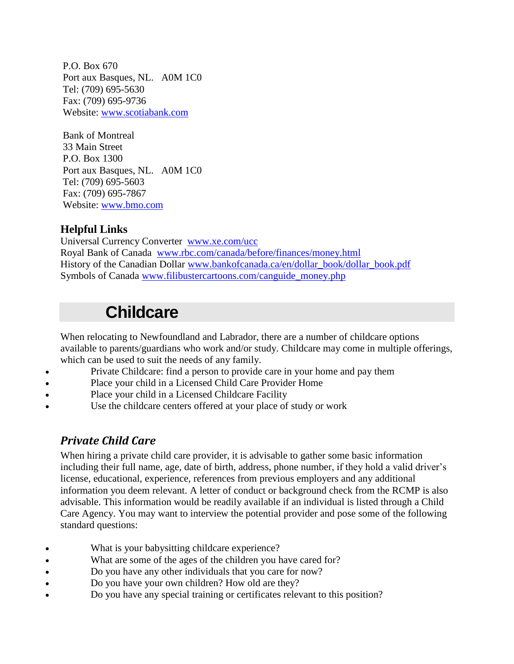P.O. Box 670 Port aux Basques, NL. A0M 1C0 Tel: (709) 695-5630 Fax: (709) 695-9736 Website: [www.scotiabank.com](http://www.scotiabank.com/)

Bank of Montreal 33 Main Street P.O. Box 1300 Port aux Basques, NL. A0M 1C0 Tel: (709) 695-5603 Fax: (709) 695-7867 Website: [www.bmo.com](http://www.bmo.com/)

### **Helpful Links**

Universal Currency Converter [www.xe.com/ucc](http://www.xe.com/ucc/) Royal Bank of Canada [www.rbc.com/canada/before/finances/money.html](http://www.rbc.com/canada/before/finances/money.html) History of the Canadian Dollar [www.bankofcanada.ca/en/dollar\\_book/dollar\\_book.pdf](http://www.bankofcanada.ca/en/dollar_book/dollar_book.pdf) Symbols of Canada [www.filibustercartoons.com/canguide\\_money.php](http://www.filibustercartoons.com/canguide_money.php)

# **Childcare**

When relocating to Newfoundland and Labrador, there are a number of childcare options available to parents/guardians who work and/or study. Childcare may come in multiple offerings, which can be used to suit the needs of any family.

- Private Childcare: find a person to provide care in your home and pay them
- Place your child in a Licensed Child Care Provider Home
- Place your child in a Licensed Childcare Facility
- Use the childcare centers offered at your place of study or work

### *Private Child Care*

When hiring a private child care provider, it is advisable to gather some basic information including their full name, age, date of birth, address, phone number, if they hold a valid driver's license, educational, experience, references from previous employers and any additional information you deem relevant. A letter of conduct or background check from the RCMP is also advisable. This information would be readily available if an individual is listed through a Child Care Agency. You may want to interview the potential provider and pose some of the following standard questions:

- What is your babysitting childcare experience?
- What are some of the ages of the children you have cared for?
- Do you have any other individuals that you care for now?
- Do you have your own children? How old are they?
- Do you have any special training or certificates relevant to this position?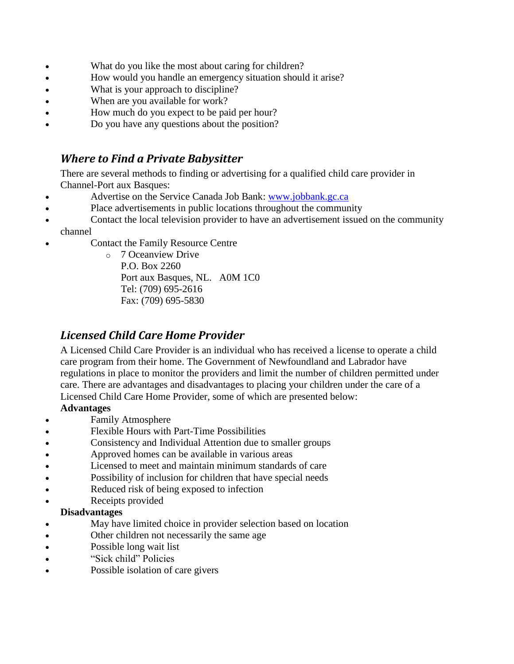- What do you like the most about caring for children?
- How would you handle an emergency situation should it arise?
- What is your approach to discipline?
- When are you available for work?
- How much do you expect to be paid per hour?
- Do you have any questions about the position?

### *Where to Find a Private Babysitter*

There are several methods to finding or advertising for a qualified child care provider in Channel-Port aux Basques:

- Advertise on the Service Canada Job Bank: [www.jobbank.gc.ca](http://www.jobbank.gc.ca/)
- Place advertisements in public locations throughout the community
- Contact the local television provider to have an advertisement issued on the community channel
- Contact the Family Resource Centre

o 7 Oceanview Drive P.O. Box 2260 Port aux Basques, NL. A0M 1C0 Tel: (709) 695-2616 Fax: (709) 695-5830

### *Licensed Child Care Home Provider*

A Licensed Child Care Provider is an individual who has received a license to operate a child care program from their home. The Government of Newfoundland and Labrador have regulations in place to monitor the providers and limit the number of children permitted under care. There are advantages and disadvantages to placing your children under the care of a Licensed Child Care Home Provider, some of which are presented below:

#### **Advantages**

- Family Atmosphere
- Flexible Hours with Part-Time Possibilities
- Consistency and Individual Attention due to smaller groups
- Approved homes can be available in various areas
- Licensed to meet and maintain minimum standards of care
- Possibility of inclusion for children that have special needs
- Reduced risk of being exposed to infection
- Receipts provided

#### **Disadvantages**

- May have limited choice in provider selection based on location
- Other children not necessarily the same age
- Possible long wait list
- "Sick child" Policies
- Possible isolation of care givers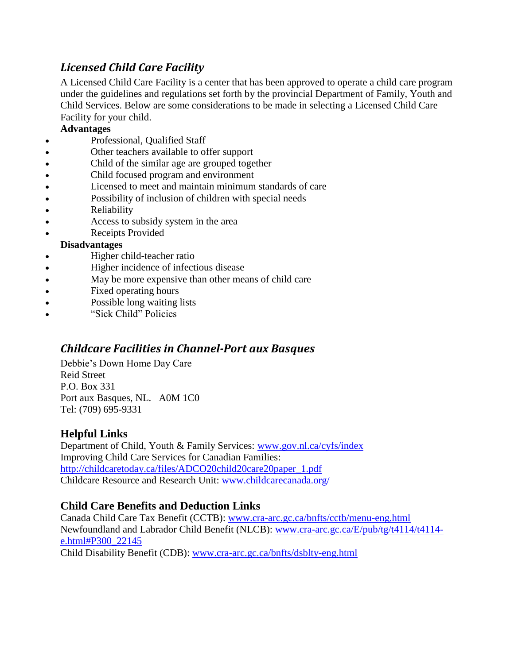# *Licensed Child Care Facility*

A Licensed Child Care Facility is a center that has been approved to operate a child care program under the guidelines and regulations set forth by the provincial Department of Family, Youth and Child Services. Below are some considerations to be made in selecting a Licensed Child Care Facility for your child.

#### **Advantages**

- Professional, Qualified Staff
- Other teachers available to offer support
- Child of the similar age are grouped together
- Child focused program and environment
- Licensed to meet and maintain minimum standards of care
- Possibility of inclusion of children with special needs
- Reliability
- Access to subsidy system in the area
- Receipts Provided

#### **Disadvantages**

- Higher child-teacher ratio
- Higher incidence of infectious disease
- May be more expensive than other means of child care
- Fixed operating hours
- Possible long waiting lists
- "Sick Child" Policies

### *Childcare Facilities in Channel-Port aux Basques*

Debbie"s Down Home Day Care Reid Street P.O. Box 331 Port aux Basques, NL. A0M 1C0 Tel: (709) 695-9331

#### **Helpful Links**

Department of Child, Youth & Family Services: [www.gov.nl.ca/cyfs/index](http://www.gov.nl.ca/cyfs/index) Improving Child Care Services for Canadian Families: [http://childcaretoday.ca/files/ADCO20child20care20paper\\_1.pdf](http://childcaretoday.ca/files/ADCO20child20care20paper_1.pdf) Childcare Resource and Research Unit: [www.childcarecanada.org/](http://www.childcarecanada.org/)

### **Child Care Benefits and Deduction Links**

Canada Child Care Tax Benefit (CCTB): [www.cra-arc.gc.ca/bnfts/cctb/menu-eng.html](http://www.cra-arc.gc.ca/bnfts/cctb/menu-eng.html) Newfoundland and Labrador Child Benefit (NLCB): [www.cra-arc.gc.ca/E/pub/tg/t4114/t4114](http://www.cra-arc.gc.ca/E/pub/tg/t4114/t4114-e.html#P300_22145) [e.html#P300\\_22145](http://www.cra-arc.gc.ca/E/pub/tg/t4114/t4114-e.html#P300_22145) Child Disability Benefit (CDB): [www.cra-arc.gc.ca/bnfts/dsblty-eng.html](http://www.cra-arc.gc.ca/bnfts/dsblty-eng.html)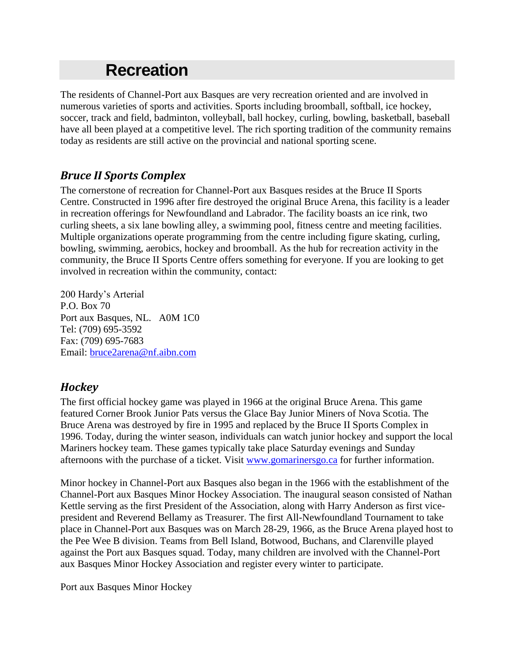# **Recreation**

The residents of Channel-Port aux Basques are very recreation oriented and are involved in numerous varieties of sports and activities. Sports including broomball, softball, ice hockey, soccer, track and field, badminton, volleyball, ball hockey, curling, bowling, basketball, baseball have all been played at a competitive level. The rich sporting tradition of the community remains today as residents are still active on the provincial and national sporting scene.

### *Bruce II Sports Complex*

The cornerstone of recreation for Channel-Port aux Basques resides at the Bruce II Sports Centre. Constructed in 1996 after fire destroyed the original Bruce Arena, this facility is a leader in recreation offerings for Newfoundland and Labrador. The facility boasts an ice rink, two curling sheets, a six lane bowling alley, a swimming pool, fitness centre and meeting facilities. Multiple organizations operate programming from the centre including figure skating, curling, bowling, swimming, aerobics, hockey and broomball. As the hub for recreation activity in the community, the Bruce II Sports Centre offers something for everyone. If you are looking to get involved in recreation within the community, contact:

200 Hardy"s Arterial P.O. Box 70 Port aux Basques, NL. A0M 1C0 Tel: (709) 695-3592 Fax: (709) 695-7683 Email: [bruce2arena@nf.aibn.com](mailto:bruce2arena@nf.aibn.com)

### *Hockey*

The first official hockey game was played in 1966 at the original Bruce Arena. This game featured Corner Brook Junior Pats versus the Glace Bay Junior Miners of Nova Scotia. The Bruce Arena was destroyed by fire in 1995 and replaced by the Bruce II Sports Complex in 1996. Today, during the winter season, individuals can watch junior hockey and support the local Mariners hockey team. These games typically take place Saturday evenings and Sunday afternoons with the purchase of a ticket. Visit [www.gomarinersgo.ca](http://www.gomarinersgo.ca/) for further information.

Minor hockey in Channel-Port aux Basques also began in the 1966 with the establishment of the Channel-Port aux Basques Minor Hockey Association. The inaugural season consisted of Nathan Kettle serving as the first President of the Association, along with Harry Anderson as first vicepresident and Reverend Bellamy as Treasurer. The first All-Newfoundland Tournament to take place in Channel-Port aux Basques was on March 28-29, 1966, as the Bruce Arena played host to the Pee Wee B division. Teams from Bell Island, Botwood, Buchans, and Clarenville played against the Port aux Basques squad. Today, many children are involved with the Channel-Port aux Basques Minor Hockey Association and register every winter to participate.

Port aux Basques Minor Hockey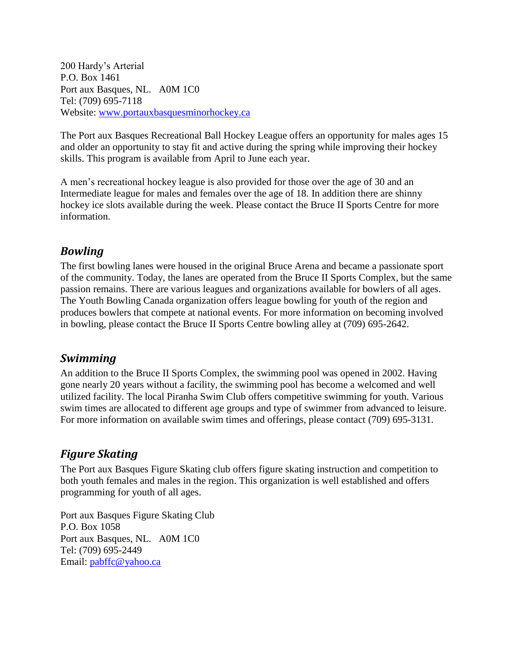200 Hardy"s Arterial P.O. Box 1461 Port aux Basques, NL. A0M 1C0 Tel: (709) 695-7118 Website: [www.portauxbasquesminorhockey.ca](http://www.portauxbasquesminorhockey.ca/)

The Port aux Basques Recreational Ball Hockey League offers an opportunity for males ages 15 and older an opportunity to stay fit and active during the spring while improving their hockey skills. This program is available from April to June each year.

A men"s recreational hockey league is also provided for those over the age of 30 and an Intermediate league for males and females over the age of 18. In addition there are shinny hockey ice slots available during the week. Please contact the Bruce II Sports Centre for more information.

### *Bowling*

The first bowling lanes were housed in the original Bruce Arena and became a passionate sport of the community. Today, the lanes are operated from the Bruce II Sports Complex, but the same passion remains. There are various leagues and organizations available for bowlers of all ages. The Youth Bowling Canada organization offers league bowling for youth of the region and produces bowlers that compete at national events. For more information on becoming involved in bowling, please contact the Bruce II Sports Centre bowling alley at (709) 695-2642.

### *Swimming*

An addition to the Bruce II Sports Complex, the swimming pool was opened in 2002. Having gone nearly 20 years without a facility, the swimming pool has become a welcomed and well utilized facility. The local Piranha Swim Club offers competitive swimming for youth. Various swim times are allocated to different age groups and type of swimmer from advanced to leisure. For more information on available swim times and offerings, please contact (709) 695-3131.

### *Figure Skating*

The Port aux Basques Figure Skating club offers figure skating instruction and competition to both youth females and males in the region. This organization is well established and offers programming for youth of all ages.

Port aux Basques Figure Skating Club P.O. Box 1058 Port aux Basques, NL. A0M 1C0 Tel: (709) 695-2449 Email: [pabffc@yahoo.ca](mailto:pabffc@yahoo.ca)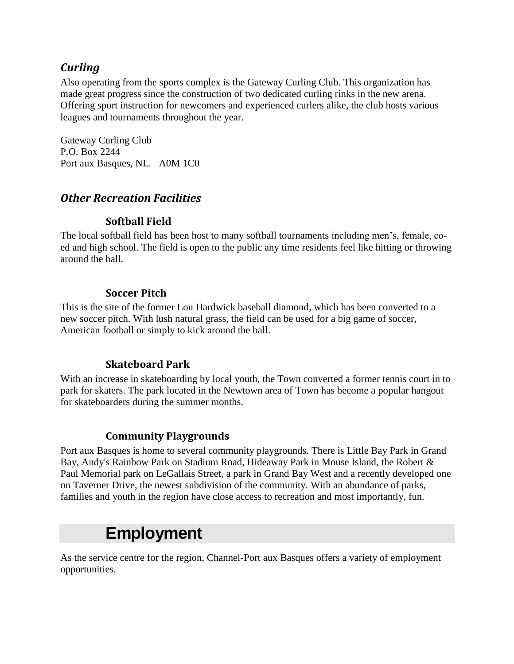### *Curling*

Also operating from the sports complex is the Gateway Curling Club. This organization has made great progress since the construction of two dedicated curling rinks in the new arena. Offering sport instruction for newcomers and experienced curlers alike, the club hosts various leagues and tournaments throughout the year.

Gateway Curling Club P.O. Box 2244 Port aux Basques, NL. A0M 1C0

### *Other Recreation Facilities*

#### **Softball Field**

The local softball field has been host to many softball tournaments including men"s, female, coed and high school. The field is open to the public any time residents feel like hitting or throwing around the ball.

#### **Soccer Pitch**

This is the site of the former Lou Hardwick baseball diamond, which has been converted to a new soccer pitch. With lush natural grass, the field can be used for a big game of soccer, American football or simply to kick around the ball.

### **Skateboard Park**

With an increase in skateboarding by local youth, the Town converted a former tennis court in to park for skaters. The park located in the Newtown area of Town has become a popular hangout for skateboarders during the summer months.

### **Community Playgrounds**

Port aux Basques is home to several community playgrounds. There is Little Bay Park in Grand Bay, Andy's Rainbow Park on Stadium Road, Hideaway Park in Mouse Island, the Robert & Paul Memorial park on LeGallais Street, a park in Grand Bay West and a recently developed one on Taverner Drive, the newest subdivision of the community. With an abundance of parks, families and youth in the region have close access to recreation and most importantly, fun.

# **Employment**

As the service centre for the region, Channel-Port aux Basques offers a variety of employment opportunities.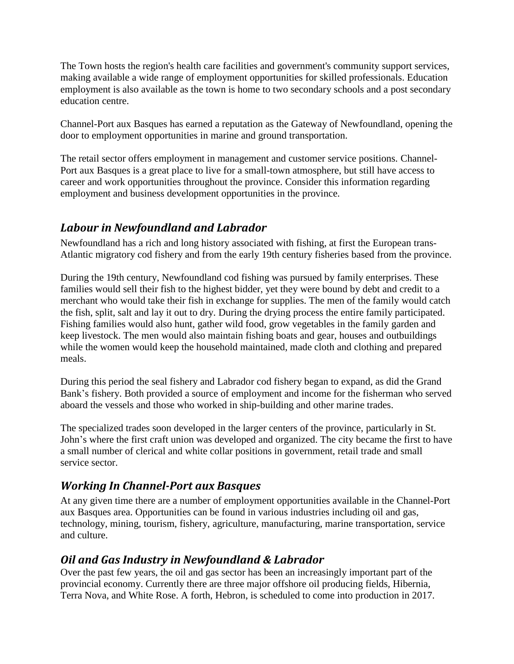The Town hosts the region's health care facilities and government's community support services, making available a wide range of employment opportunities for skilled professionals. Education employment is also available as the town is home to two secondary schools and a post secondary education centre.

Channel-Port aux Basques has earned a reputation as the Gateway of Newfoundland, opening the door to employment opportunities in marine and ground transportation.

The retail sector offers employment in management and customer service positions. Channel-Port aux Basques is a great place to live for a small-town atmosphere, but still have access to career and work opportunities throughout the province. Consider this information regarding employment and business development opportunities in the province.

### *Labour in Newfoundland and Labrador*

Newfoundland has a rich and long history associated with fishing, at first the European trans-Atlantic migratory cod fishery and from the early 19th century fisheries based from the province.

During the 19th century, Newfoundland cod fishing was pursued by family enterprises. These families would sell their fish to the highest bidder, yet they were bound by debt and credit to a merchant who would take their fish in exchange for supplies. The men of the family would catch the fish, split, salt and lay it out to dry. During the drying process the entire family participated. Fishing families would also hunt, gather wild food, grow vegetables in the family garden and keep livestock. The men would also maintain fishing boats and gear, houses and outbuildings while the women would keep the household maintained, made cloth and clothing and prepared meals.

During this period the seal fishery and Labrador cod fishery began to expand, as did the Grand Bank"s fishery. Both provided a source of employment and income for the fisherman who served aboard the vessels and those who worked in ship-building and other marine trades.

The specialized trades soon developed in the larger centers of the province, particularly in St. John"s where the first craft union was developed and organized. The city became the first to have a small number of clerical and white collar positions in government, retail trade and small service sector.

### *Working In Channel-Port aux Basques*

At any given time there are a number of employment opportunities available in the Channel-Port aux Basques area. Opportunities can be found in various industries including oil and gas, technology, mining, tourism, fishery, agriculture, manufacturing, marine transportation, service and culture.

### *Oil and Gas Industry in Newfoundland & Labrador*

Over the past few years, the oil and gas sector has been an increasingly important part of the provincial economy. Currently there are three major offshore oil producing fields, Hibernia, Terra Nova, and White Rose. A forth, Hebron, is scheduled to come into production in 2017.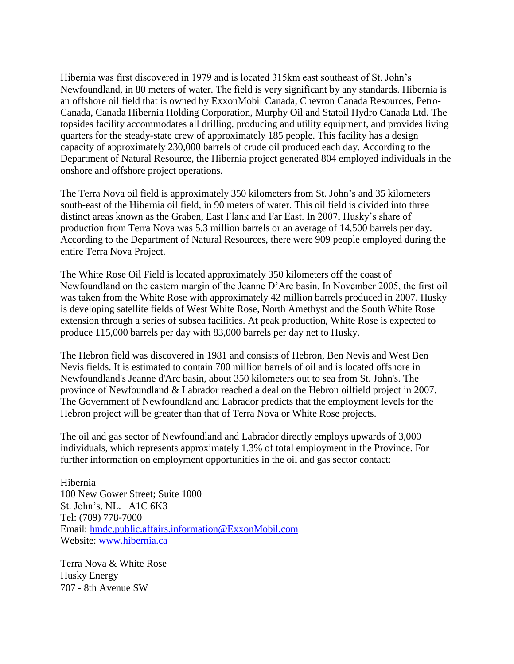Hibernia was first discovered in 1979 and is located 315km east southeast of St. John"s Newfoundland, in 80 meters of water. The field is very significant by any standards. Hibernia is an offshore oil field that is owned by ExxonMobil Canada, Chevron Canada Resources, Petro-Canada, Canada Hibernia Holding Corporation, Murphy Oil and Statoil Hydro Canada Ltd. The topsides facility accommodates all drilling, producing and utility equipment, and provides living quarters for the steady-state crew of approximately 185 people. This facility has a design capacity of approximately 230,000 barrels of crude oil produced each day. According to the Department of Natural Resource, the Hibernia project generated 804 employed individuals in the onshore and offshore project operations.

The Terra Nova oil field is approximately 350 kilometers from St. John"s and 35 kilometers south-east of the Hibernia oil field, in 90 meters of water. This oil field is divided into three distinct areas known as the Graben, East Flank and Far East. In 2007, Husky"s share of production from Terra Nova was 5.3 million barrels or an average of 14,500 barrels per day. According to the Department of Natural Resources, there were 909 people employed during the entire Terra Nova Project.

The White Rose Oil Field is located approximately 350 kilometers off the coast of Newfoundland on the eastern margin of the Jeanne D"Arc basin. In November 2005, the first oil was taken from the White Rose with approximately 42 million barrels produced in 2007. Husky is developing satellite fields of West White Rose, North Amethyst and the South White Rose extension through a series of subsea facilities. At peak production, White Rose is expected to produce 115,000 barrels per day with 83,000 barrels per day net to Husky.

The Hebron field was discovered in 1981 and consists of Hebron, Ben Nevis and West Ben Nevis fields. It is estimated to contain 700 million barrels of oil and is located offshore in Newfoundland's Jeanne d'Arc basin, about 350 kilometers out to sea from St. John's. The province of Newfoundland & Labrador reached a deal on the Hebron oilfield project in 2007. The Government of Newfoundland and Labrador predicts that the employment levels for the Hebron project will be greater than that of Terra Nova or White Rose projects.

The oil and gas sector of Newfoundland and Labrador directly employs upwards of 3,000 individuals, which represents approximately 1.3% of total employment in the Province. For further information on employment opportunities in the oil and gas sector contact:

Hibernia 100 New Gower Street; Suite 1000 St. John"s, NL. A1C 6K3 Tel: (709) 778-7000 Email: [hmdc.public.affairs.information@ExxonMobil.com](mailto:hmdc.public.affairs.information@ExxonMobil.com) Website: [www.hibernia.ca](http://www.hibernia.ca/)

Terra Nova & White Rose Husky Energy 707 - 8th Avenue SW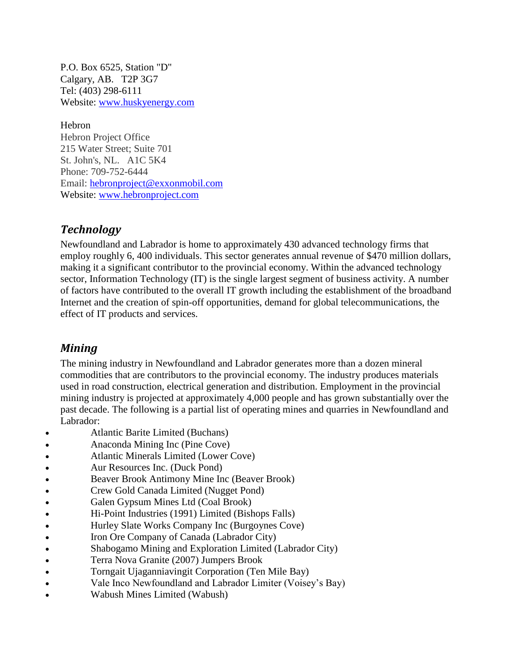P.O. Box 6525, Station "D" Calgary, AB. T2P 3G7 Tel: (403) 298-6111 Website: [www.huskyenergy.com](http://www.huskyenergy.com/)

Hebron Hebron Project Office 215 Water Street; Suite 701 St. John's, NL. A1C 5K4 Phone: 709-752-6444 Email: [hebronproject@exxonmobil.com](mailto:hebronproject@exxonmobil.com) Website: [www.hebronproject.com](http://www.hebronproject.com/)

### *Technology*

Newfoundland and Labrador is home to approximately 430 advanced technology firms that employ roughly 6, 400 individuals. This sector generates annual revenue of \$470 million dollars, making it a significant contributor to the provincial economy. Within the advanced technology sector, Information Technology (IT) is the single largest segment of business activity. A number of factors have contributed to the overall IT growth including the establishment of the broadband Internet and the creation of spin-off opportunities, demand for global telecommunications, the effect of IT products and services.

#### *Mining*

The mining industry in Newfoundland and Labrador generates more than a dozen mineral commodities that are contributors to the provincial economy. The industry produces materials used in road construction, electrical generation and distribution. Employment in the provincial mining industry is projected at approximately 4,000 people and has grown substantially over the past decade. The following is a partial list of operating mines and quarries in Newfoundland and Labrador:

- Atlantic Barite Limited (Buchans)
- Anaconda Mining Inc (Pine Cove)
- Atlantic Minerals Limited (Lower Cove)
- Aur Resources Inc. (Duck Pond)
- Beaver Brook Antimony Mine Inc (Beaver Brook)
- Crew Gold Canada Limited (Nugget Pond)
- Galen Gypsum Mines Ltd (Coal Brook)
- Hi-Point Industries (1991) Limited (Bishops Falls)
- Hurley Slate Works Company Inc (Burgoynes Cove)
- Iron Ore Company of Canada (Labrador City)
- Shabogamo Mining and Exploration Limited (Labrador City)
- Terra Nova Granite (2007) Jumpers Brook
- Torngait Ujaganniavingit Corporation (Ten Mile Bay)
- Vale Inco Newfoundland and Labrador Limiter (Voisey"s Bay)
- Wabush Mines Limited (Wabush)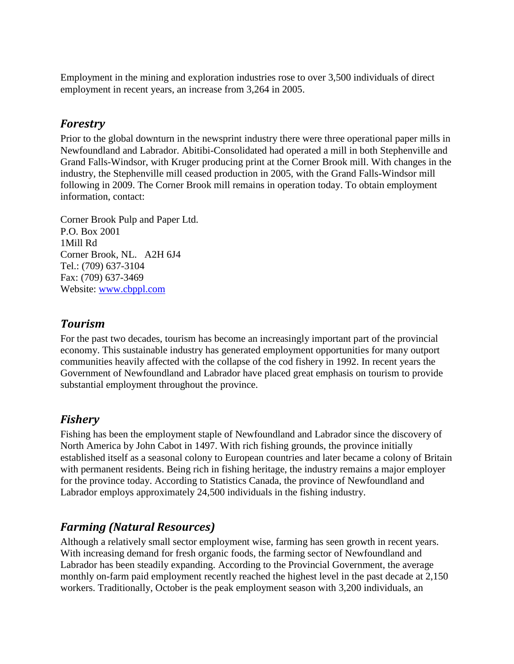Employment in the mining and exploration industries rose to over 3,500 individuals of direct employment in recent years, an increase from 3,264 in 2005.

### *Forestry*

Prior to the global downturn in the newsprint industry there were three operational paper mills in Newfoundland and Labrador. Abitibi-Consolidated had operated a mill in both Stephenville and Grand Falls-Windsor, with Kruger producing print at the Corner Brook mill. With changes in the industry, the Stephenville mill ceased production in 2005, with the Grand Falls-Windsor mill following in 2009. The Corner Brook mill remains in operation today. To obtain employment information, contact:

Corner Brook Pulp and Paper Ltd. P.O. Box 2001 1Mill Rd Corner Brook, NL. A2H 6J4 Tel.: (709) 637-3104 Fax: (709) 637-3469 Website: [www.cbppl.com](http://www.cbppl.com/)

### *Tourism*

For the past two decades, tourism has become an increasingly important part of the provincial economy. This sustainable industry has generated employment opportunities for many outport communities heavily affected with the collapse of the cod fishery in 1992. In recent years the Government of Newfoundland and Labrador have placed great emphasis on tourism to provide substantial employment throughout the province.

### *Fishery*

Fishing has been the employment staple of Newfoundland and Labrador since the discovery of North America by John Cabot in 1497. With rich fishing grounds, the province initially established itself as a seasonal colony to European countries and later became a colony of Britain with permanent residents. Being rich in fishing heritage, the industry remains a major employer for the province today. According to Statistics Canada, the province of Newfoundland and Labrador employs approximately 24,500 individuals in the fishing industry.

### *Farming (Natural Resources)*

Although a relatively small sector employment wise, farming has seen growth in recent years. With increasing demand for fresh organic foods, the farming sector of Newfoundland and Labrador has been steadily expanding. According to the Provincial Government, the average monthly on-farm paid employment recently reached the highest level in the past decade at 2,150 workers. Traditionally, October is the peak employment season with 3,200 individuals, an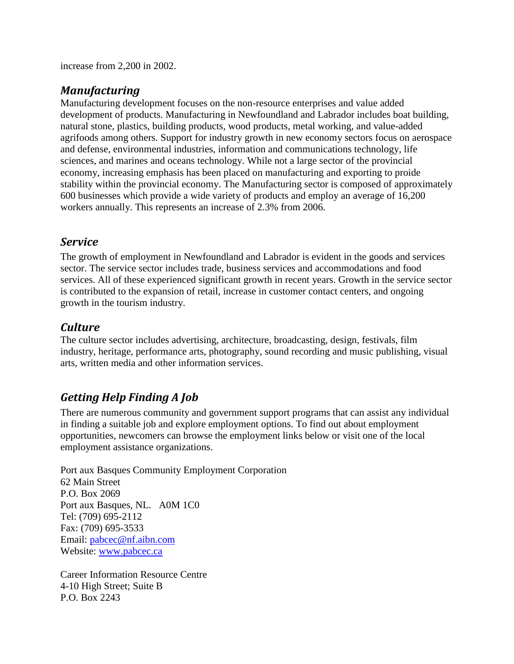increase from 2,200 in 2002.

### *Manufacturing*

Manufacturing development focuses on the non-resource enterprises and value added development of products. Manufacturing in Newfoundland and Labrador includes boat building, natural stone, plastics, building products, wood products, metal working, and value-added agrifoods among others. Support for industry growth in new economy sectors focus on aerospace and defense, environmental industries, information and communications technology, life sciences, and marines and oceans technology. While not a large sector of the provincial economy, increasing emphasis has been placed on manufacturing and exporting to proide stability within the provincial economy. The Manufacturing sector is composed of approximately 600 businesses which provide a wide variety of products and employ an average of 16,200 workers annually. This represents an increase of 2.3% from 2006.

### *Service*

The growth of employment in Newfoundland and Labrador is evident in the goods and services sector. The service sector includes trade, business services and accommodations and food services. All of these experienced significant growth in recent years. Growth in the service sector is contributed to the expansion of retail, increase in customer contact centers, and ongoing growth in the tourism industry.

### *Culture*

The culture sector includes advertising, architecture, broadcasting, design, festivals, film industry, heritage, performance arts, photography, sound recording and music publishing, visual arts, written media and other information services.

### *Getting Help Finding A Job*

There are numerous community and government support programs that can assist any individual in finding a suitable job and explore employment options. To find out about employment opportunities, newcomers can browse the employment links below or visit one of the local employment assistance organizations.

Port aux Basques Community Employment Corporation 62 Main Street P.O. Box 2069 Port aux Basques, NL. A0M 1C0 Tel: (709) 695-2112 Fax: (709) 695-3533 Email: [pabcec@nf.aibn.com](mailto:pabcec@nf.aibn.com) Website: [www.pabcec.ca](http://www.pabcec.ca/)

Career Information Resource Centre 4-10 High Street; Suite B P.O. Box 2243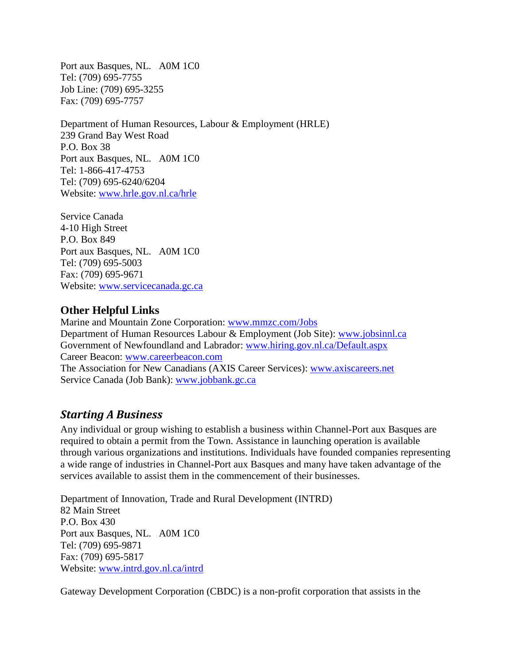Port aux Basques, NL. A0M 1C0 Tel: (709) 695-7755 Job Line: (709) 695-3255 Fax: (709) 695-7757

Department of Human Resources, Labour & Employment (HRLE) 239 Grand Bay West Road P.O. Box 38 Port aux Basques, NL. A0M 1C0 Tel: 1-866-417-4753 Tel: (709) 695-6240/6204 Website: [www.hrle.gov.nl.ca/hrle](http://www.hrle.gov.nl.ca/hrle)

Service Canada 4-10 High Street P.O. Box 849 Port aux Basques, NL. A0M 1C0 Tel: (709) 695-5003 Fax: (709) 695-9671 Website: [www.servicecanada.gc.ca](http://www.servicecanada.gc.ca/)

#### **Other Helpful Links**

Marine and Mountain Zone Corporation: [www.mmzc.com/Jobs](http://www.mmzc.com/Jobs) Department of Human Resources Labour & Employment (Job Site): [www.jobsinnl.ca](http://www.jobsinnl.ca/) Government of Newfoundland and Labrador: [www.hiring.gov.nl.ca/Default.aspx](http://www.hiring.gov.nl.ca/Default.aspx) Career Beacon: [www.careerbeacon.com](http://www.careerbeacon.com/) The Association for New Canadians (AXIS Career Services): [www.axiscareers.net](http://www.axiscareers.net/) Service Canada (Job Bank): [www.jobbank.gc.ca](http://www.jobbank.gc.ca/)

#### *Starting A Business*

Any individual or group wishing to establish a business within Channel-Port aux Basques are required to obtain a permit from the Town. Assistance in launching operation is available through various organizations and institutions. Individuals have founded companies representing a wide range of industries in Channel-Port aux Basques and many have taken advantage of the services available to assist them in the commencement of their businesses.

Department of Innovation, Trade and Rural Development (INTRD) 82 Main Street P.O. Box 430 Port aux Basques, NL. A0M 1C0 Tel: (709) 695-9871 Fax: (709) 695-5817 Website: [www.intrd.gov.nl.ca/intrd](http://www.intrd.gov.nl.ca/intrd)

Gateway Development Corporation (CBDC) is a non-profit corporation that assists in the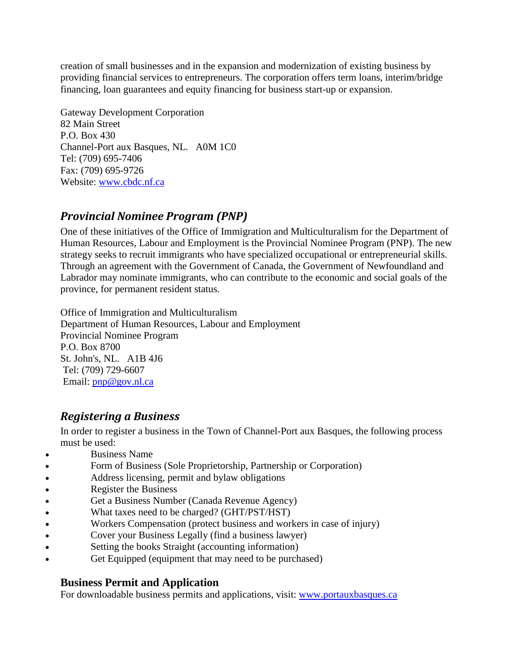creation of small businesses and in the expansion and modernization of existing business by providing financial services to entrepreneurs. The corporation offers term loans, interim/bridge financing, loan guarantees and equity financing for business start-up or expansion.

Gateway Development Corporation 82 Main Street P.O. Box 430 Channel-Port aux Basques, NL. A0M 1C0 Tel: (709) 695-7406 Fax: (709) 695-9726 Website: [www.cbdc.nf.ca](http://www.cbdc.nf.ca/)

### *Provincial Nominee Program (PNP)*

One of these initiatives of the Office of Immigration and Multiculturalism for the Department of Human Resources, Labour and Employment is the Provincial Nominee Program (PNP). The new strategy seeks to recruit immigrants who have specialized occupational or entrepreneurial skills. Through an agreement with the Government of Canada, the Government of Newfoundland and Labrador may nominate immigrants, who can contribute to the economic and social goals of the province, for permanent resident status.

Office of Immigration and Multiculturalism Department of Human Resources, Labour and Employment Provincial Nominee Program P.O. Box 8700 St. John's, NL. A1B 4J6 Tel: (709) 729-6607 Email: [pnp@gov.nl.ca](mailto:pnp@gov.nl.ca)

### *Registering a Business*

In order to register a business in the Town of Channel-Port aux Basques, the following process must be used:

- Business Name
- Form of Business (Sole Proprietorship, Partnership or Corporation)
- Address licensing, permit and bylaw obligations
- Register the Business
- Get a Business Number (Canada Revenue Agency)
- What taxes need to be charged? (GHT/PST/HST)
- Workers Compensation (protect business and workers in case of injury)
- Cover your Business Legally (find a business lawyer)
- Setting the books Straight (accounting information)
- Get Equipped (equipment that may need to be purchased)

### **Business Permit and Application**

For downloadable business permits and applications, visit: [www.portauxbasques.ca](http://www.portauxbasques.ca/)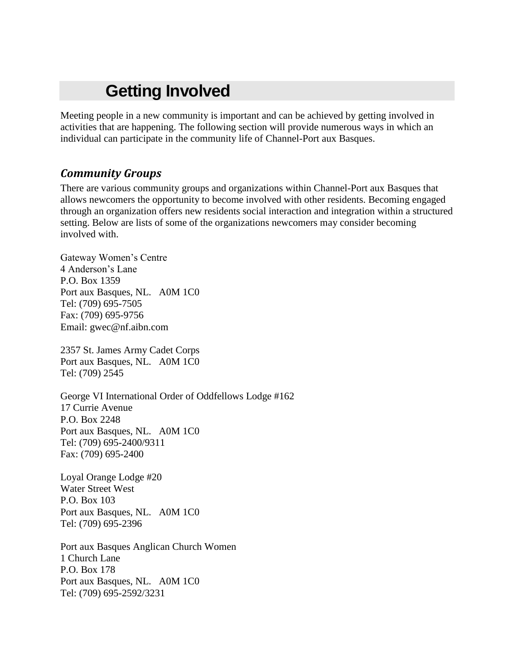# **Getting Involved**

Meeting people in a new community is important and can be achieved by getting involved in activities that are happening. The following section will provide numerous ways in which an individual can participate in the community life of Channel-Port aux Basques.

### *Community Groups*

There are various community groups and organizations within Channel-Port aux Basques that allows newcomers the opportunity to become involved with other residents. Becoming engaged through an organization offers new residents social interaction and integration within a structured setting. Below are lists of some of the organizations newcomers may consider becoming involved with.

Gateway Women"s Centre 4 Anderson"s Lane P.O. Box 1359 Port aux Basques, NL. A0M 1C0 Tel: (709) 695-7505 Fax: (709) 695-9756 Email: gwec@nf.aibn.com

2357 St. James Army Cadet Corps Port aux Basques, NL. A0M 1C0 Tel: (709) 2545

George VI International Order of Oddfellows Lodge #162 17 Currie Avenue P.O. Box 2248 Port aux Basques, NL. A0M 1C0 Tel: (709) 695-2400/9311 Fax: (709) 695-2400

Loyal Orange Lodge #20 Water Street West P.O. Box 103 Port aux Basques, NL. A0M 1C0 Tel: (709) 695-2396

Port aux Basques Anglican Church Women 1 Church Lane P.O. Box 178 Port aux Basques, NL. A0M 1C0 Tel: (709) 695-2592/3231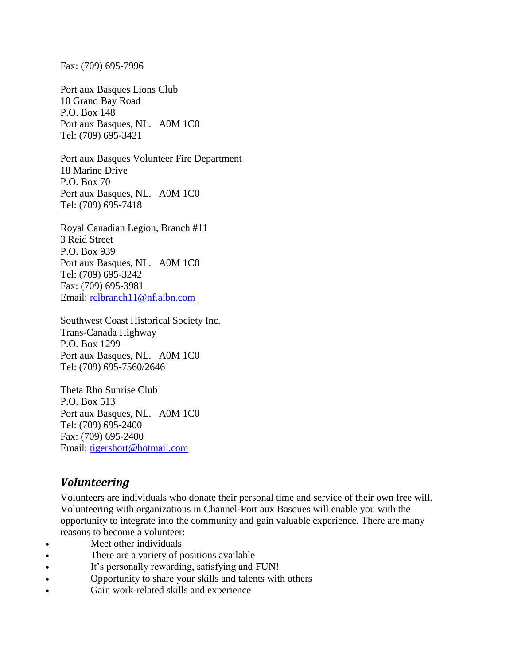Fax: (709) 695-7996

Port aux Basques Lions Club 10 Grand Bay Road P.O. Box 148 Port aux Basques, NL. A0M 1C0 Tel: (709) 695-3421

Port aux Basques Volunteer Fire Department 18 Marine Drive P.O. Box 70 Port aux Basques, NL. A0M 1C0 Tel: (709) 695-7418

Royal Canadian Legion, Branch #11 3 Reid Street P.O. Box 939 Port aux Basques, NL. A0M 1C0 Tel: (709) 695-3242 Fax: (709) 695-3981 Email: [rclbranch11@nf.aibn.com](mailto:rclbranch11@nf.aibn.com)

Southwest Coast Historical Society Inc. Trans-Canada Highway P.O. Box 1299 Port aux Basques, NL. A0M 1C0 Tel: (709) 695-7560/2646

Theta Rho Sunrise Club P.O. Box 513 Port aux Basques, NL. A0M 1C0 Tel: (709) 695-2400 Fax: (709) 695-2400 Email: [tigershort@hotmail.com](mailto:tigershort@hotmail.com)

### *Volunteering*

Volunteers are individuals who donate their personal time and service of their own free will. Volunteering with organizations in Channel-Port aux Basques will enable you with the opportunity to integrate into the community and gain valuable experience. There are many reasons to become a volunteer:

- Meet other individuals
- There are a variety of positions available
- It's personally rewarding, satisfying and FUN!
- Opportunity to share your skills and talents with others
- Gain work-related skills and experience